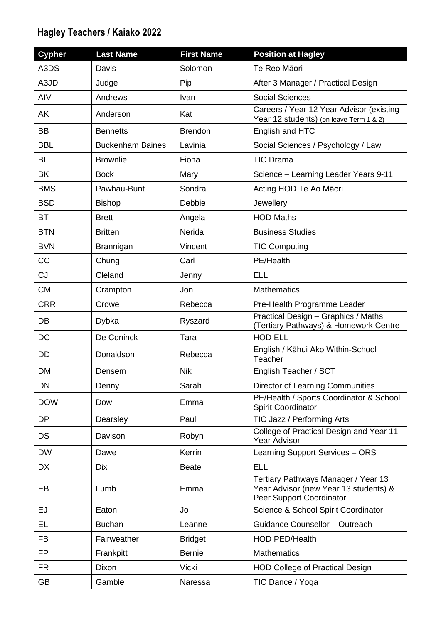## **Hagley Teachers / Kaiako 2022**

| <b>Cypher</b> | <b>Last Name</b>        | <b>First Name</b> | <b>Position at Hagley</b>                                                                                |
|---------------|-------------------------|-------------------|----------------------------------------------------------------------------------------------------------|
| A3DS          | Davis                   | Solomon           | Te Reo Māori                                                                                             |
| A3JD          | Judge                   | Pip               | After 3 Manager / Practical Design                                                                       |
| AIV           | Andrews                 | Ivan              | <b>Social Sciences</b>                                                                                   |
| AK            | Anderson                | Kat               | Careers / Year 12 Year Advisor (existing<br>Year 12 students) (on leave Term 1 & 2)                      |
| <b>BB</b>     | <b>Bennetts</b>         | <b>Brendon</b>    | English and HTC                                                                                          |
| <b>BBL</b>    | <b>Buckenham Baines</b> | Lavinia           | Social Sciences / Psychology / Law                                                                       |
| BI            | <b>Brownlie</b>         | Fiona             | <b>TIC Drama</b>                                                                                         |
| BK            | <b>Bock</b>             | Mary              | Science - Learning Leader Years 9-11                                                                     |
| <b>BMS</b>    | Pawhau-Bunt             | Sondra            | Acting HOD Te Ao Māori                                                                                   |
| <b>BSD</b>    | <b>Bishop</b>           | Debbie            | Jewellery                                                                                                |
| <b>BT</b>     | <b>Brett</b>            | Angela            | <b>HOD Maths</b>                                                                                         |
| <b>BTN</b>    | <b>Britten</b>          | Nerida            | <b>Business Studies</b>                                                                                  |
| <b>BVN</b>    | Brannigan               | Vincent           | <b>TIC Computing</b>                                                                                     |
| <b>CC</b>     | Chung                   | Carl              | PE/Health                                                                                                |
| <b>CJ</b>     | Cleland                 | Jenny             | <b>ELL</b>                                                                                               |
| <b>CM</b>     | Crampton                | Jon               | <b>Mathematics</b>                                                                                       |
| <b>CRR</b>    | Crowe                   | Rebecca           | Pre-Health Programme Leader                                                                              |
| DB            | Dybka                   | Ryszard           | Practical Design - Graphics / Maths<br>(Tertiary Pathways) & Homework Centre                             |
| DC            | De Coninck              | Tara              | <b>HOD ELL</b>                                                                                           |
| DD            | Donaldson               | Rebecca           | English / Kāhui Ako Within-School<br>Teacher                                                             |
| <b>DM</b>     | Densem                  | <b>Nik</b>        | English Teacher / SCT                                                                                    |
| DN            | Denny                   | Sarah             | Director of Learning Communities                                                                         |
| <b>DOW</b>    | Dow                     | Emma              | PE/Health / Sports Coordinator & School<br><b>Spirit Coordinator</b>                                     |
| <b>DP</b>     | Dearsley                | Paul              | TIC Jazz / Performing Arts                                                                               |
| DS            | Davison                 | Robyn             | College of Practical Design and Year 11<br><b>Year Advisor</b>                                           |
| <b>DW</b>     | Dawe                    | Kerrin            | Learning Support Services - ORS                                                                          |
| DX            | <b>Dix</b>              | <b>Beate</b>      | <b>ELL</b>                                                                                               |
| EB            | Lumb                    | Emma              | Tertiary Pathways Manager / Year 13<br>Year Advisor (new Year 13 students) &<br>Peer Support Coordinator |
| EJ            | Eaton                   | Jo                | Science & School Spirit Coordinator                                                                      |
| EL            | <b>Buchan</b>           | Leanne            | Guidance Counsellor - Outreach                                                                           |
| <b>FB</b>     | Fairweather             | <b>Bridget</b>    | <b>HOD PED/Health</b>                                                                                    |
| <b>FP</b>     | Frankpitt               | <b>Bernie</b>     | <b>Mathematics</b>                                                                                       |
| <b>FR</b>     | Dixon                   | Vicki             | <b>HOD College of Practical Design</b>                                                                   |
| <b>GB</b>     | Gamble                  | Naressa           | TIC Dance / Yoga                                                                                         |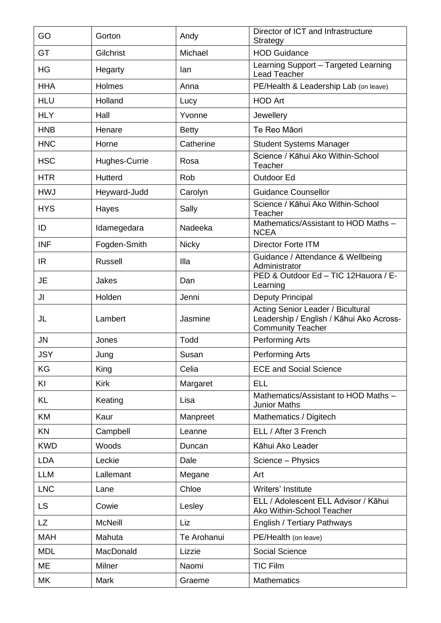| GO         | Gorton         | Andy         | Director of ICT and Infrastructure<br>Strategy                                                                   |
|------------|----------------|--------------|------------------------------------------------------------------------------------------------------------------|
| GT         | Gilchrist      | Michael      | <b>HOD Guidance</b>                                                                                              |
| HG         | Hegarty        | lan          | Learning Support - Targeted Learning<br>Lead Teacher                                                             |
| <b>HHA</b> | Holmes         | Anna         | PE/Health & Leadership Lab (on leave)                                                                            |
| <b>HLU</b> | Holland        | Lucy         | <b>HOD Art</b>                                                                                                   |
| <b>HLY</b> | Hall           | Yvonne       | Jewellery                                                                                                        |
| <b>HNB</b> | Henare         | <b>Betty</b> | Te Reo Māori                                                                                                     |
| <b>HNC</b> | Horne          | Catherine    | <b>Student Systems Manager</b>                                                                                   |
| <b>HSC</b> | Hughes-Currie  | Rosa         | Science / Kāhui Ako Within-School<br>Teacher                                                                     |
| <b>HTR</b> | Hutterd        | Rob          | Outdoor Ed                                                                                                       |
| <b>HWJ</b> | Heyward-Judd   | Carolyn      | <b>Guidance Counsellor</b>                                                                                       |
| <b>HYS</b> | Hayes          | Sally        | Science / Kāhui Ako Within-School<br>Teacher                                                                     |
| ID         | Idamegedara    | Nadeeka      | Mathematics/Assistant to HOD Maths -<br><b>NCEA</b>                                                              |
| <b>INF</b> | Fogden-Smith   | <b>Nicky</b> | <b>Director Forte ITM</b>                                                                                        |
| IR.        | <b>Russell</b> | Illa         | Guidance / Attendance & Wellbeing<br>Administrator                                                               |
| <b>JE</b>  | Jakes          | Dan          | PED & Outdoor Ed - TIC 12Hauora / E-<br>Learning                                                                 |
| JI         | Holden         | Jenni        | Deputy Principal                                                                                                 |
| JL         | Lambert        | Jasmine      | <b>Acting Senior Leader / Bicultural</b><br>Leadership / English / Kāhui Ako Across-<br><b>Community Teacher</b> |
| <b>JN</b>  | Jones          | Todd         | <b>Performing Arts</b>                                                                                           |
| <b>JSY</b> | Jung           | Susan        | <b>Performing Arts</b>                                                                                           |
| KG         | King           | Celia        | <b>ECE and Social Science</b>                                                                                    |
| KI         | <b>Kirk</b>    | Margaret     | <b>ELL</b>                                                                                                       |
| KL         | Keating        | Lisa         | Mathematics/Assistant to HOD Maths -<br><b>Junior Maths</b>                                                      |
| KM         | Kaur           | Manpreet     | Mathematics / Digitech                                                                                           |
| KN         | Campbell       | Leanne       | ELL / After 3 French                                                                                             |
| <b>KWD</b> | Woods          | Duncan       | Kāhui Ako Leader                                                                                                 |
| <b>LDA</b> | Leckie         | Dale         | Science - Physics                                                                                                |
| <b>LLM</b> | Lallemant      | Megane       | Art                                                                                                              |
| <b>LNC</b> | Lane           | Chloe        | Writers' Institute                                                                                               |
| <b>LS</b>  | Cowie          | Lesley       | ELL / Adolescent ELL Advisor / Kāhui<br>Ako Within-School Teacher                                                |
| LZ         | <b>McNeill</b> | Liz          | English / Tertiary Pathways                                                                                      |
| <b>MAH</b> | Mahuta         | Te Arohanui  | PE/Health (on leave)                                                                                             |
| <b>MDL</b> | MacDonald      | Lizzie       | Social Science                                                                                                   |
| ME         | Milner         | Naomi        | <b>TIC Film</b>                                                                                                  |
| MK         | <b>Mark</b>    | Graeme       | <b>Mathematics</b>                                                                                               |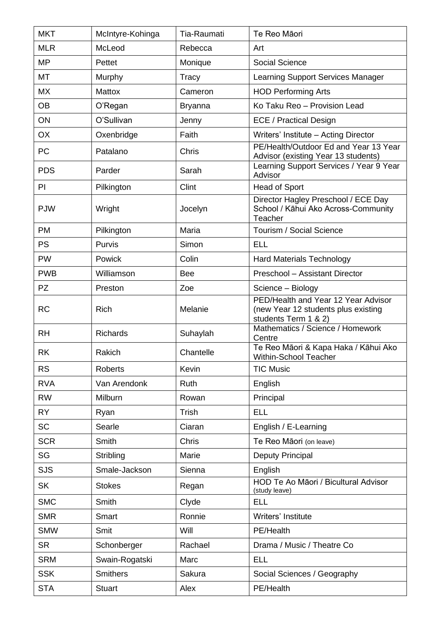| <b>MKT</b> | McIntyre-Kohinga | <b>Tia-Raumati</b> | Te Reo Māori                                                                                       |
|------------|------------------|--------------------|----------------------------------------------------------------------------------------------------|
| <b>MLR</b> | McLeod           | Rebecca            | Art                                                                                                |
| <b>MP</b>  | Pettet           | Monique            | <b>Social Science</b>                                                                              |
| MT         | Murphy           | Tracy              | <b>Learning Support Services Manager</b>                                                           |
| <b>MX</b>  | <b>Mattox</b>    | Cameron            | <b>HOD Performing Arts</b>                                                                         |
| <b>OB</b>  | O'Regan          | <b>Bryanna</b>     | Ko Taku Reo - Provision Lead                                                                       |
| ON         | O'Sullivan       | Jenny              | <b>ECE / Practical Design</b>                                                                      |
| <b>OX</b>  | Oxenbridge       | Faith              | Writers' Institute - Acting Director                                                               |
| PC         | Patalano         | Chris              | PE/Health/Outdoor Ed and Year 13 Year<br>Advisor (existing Year 13 students)                       |
| <b>PDS</b> | Parder           | Sarah              | Learning Support Services / Year 9 Year<br>Advisor                                                 |
| <b>PI</b>  | Pilkington       | Clint              | <b>Head of Sport</b>                                                                               |
| <b>PJW</b> | Wright           | Jocelyn            | Director Hagley Preschool / ECE Day<br>School / Kāhui Ako Across-Community<br>Teacher              |
| <b>PM</b>  | Pilkington       | Maria              | Tourism / Social Science                                                                           |
| <b>PS</b>  | Purvis           | Simon              | <b>ELL</b>                                                                                         |
| <b>PW</b>  | Powick           | Colin              | <b>Hard Materials Technology</b>                                                                   |
| <b>PWB</b> | Williamson       | <b>Bee</b>         | Preschool - Assistant Director                                                                     |
| <b>PZ</b>  | Preston          | Zoe                | Science - Biology                                                                                  |
| <b>RC</b>  | <b>Rich</b>      | Melanie            | PED/Health and Year 12 Year Advisor<br>(new Year 12 students plus existing<br>students Term 1 & 2) |
| <b>RH</b>  | <b>Richards</b>  | Suhaylah           | Mathematics / Science / Homework<br>Centre                                                         |
| <b>RK</b>  | Rakich           | Chantelle          | Te Reo Māori & Kapa Haka / Kāhui Ako<br>Within-School Teacher                                      |
| <b>RS</b>  | <b>Roberts</b>   | Kevin              | <b>TIC Music</b>                                                                                   |
| <b>RVA</b> | Van Arendonk     | Ruth               | English                                                                                            |
| <b>RW</b>  | Milburn          | Rowan              | Principal                                                                                          |
| <b>RY</b>  | Ryan             | <b>Trish</b>       | <b>ELL</b>                                                                                         |
| <b>SC</b>  | Searle           | Ciaran             | English / E-Learning                                                                               |
| <b>SCR</b> | Smith            | Chris              | Te Reo Māori (on leave)                                                                            |
| SG         | Stribling        | Marie              | Deputy Principal                                                                                   |
| <b>SJS</b> | Smale-Jackson    | Sienna             | English                                                                                            |
| <b>SK</b>  | <b>Stokes</b>    | Regan              | HOD Te Ao Māori / Bicultural Advisor<br>(study leave)                                              |
| <b>SMC</b> | Smith            | Clyde              | <b>ELL</b>                                                                                         |
| <b>SMR</b> | Smart            | Ronnie             | Writers' Institute                                                                                 |
| <b>SMW</b> | Smit             | Will               | PE/Health                                                                                          |
| <b>SR</b>  | Schonberger      | Rachael            | Drama / Music / Theatre Co                                                                         |
| <b>SRM</b> | Swain-Rogatski   | Marc               | <b>ELL</b>                                                                                         |
| <b>SSK</b> | <b>Smithers</b>  | Sakura             | Social Sciences / Geography                                                                        |
| <b>STA</b> | <b>Stuart</b>    | Alex               | PE/Health                                                                                          |